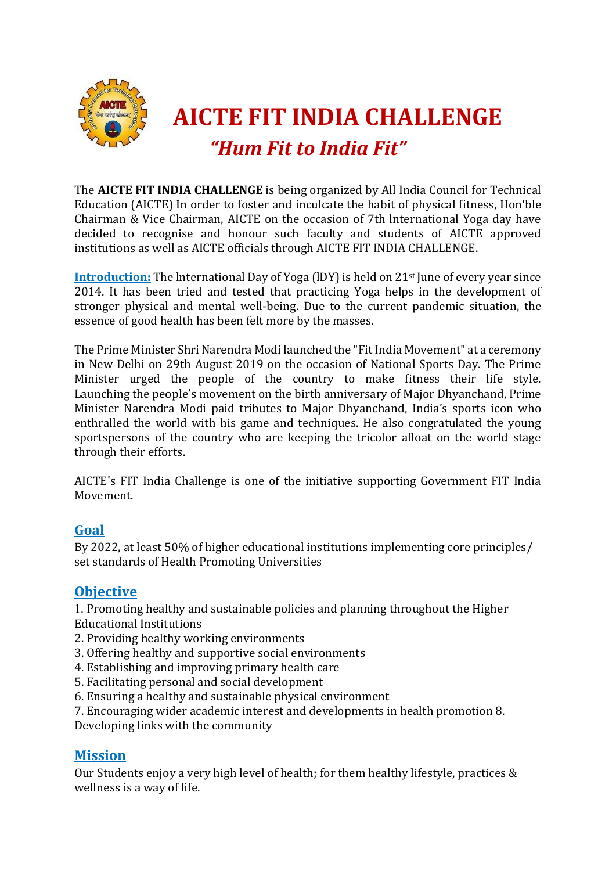

The **AICTE FIT INDIA CHALLENGE** is being organized by All India Council for Technical Education (AICTE) In order to foster and inculcate the habit of physical fitness, Hon'ble Chairman & Vice Chairman, AICTE on the occasion of 7th lnternational Yoga day have decided to recognise and honour such faculty and students of AICTE approved institutions as well as AICTE officials through AICTE FIT INDIA CHALLENGE.

**Introduction:** The International Day of Yoga (IDY) is held on 21<sup>st</sup> June of every year since 2014. It has been tried and tested that practicing Yoga helps in the development of stronger physical and mental well-being. Due to the current pandemic situation, the essence of good health has been felt more by the masses.

The Prime Minister Shri Narendra Modi launched the "Fit India Movement" at a ceremony in New Delhi on 29th August 2019 on the occasion of National Sports Day. The Prime Minister urged the people of the country to make fitness their life style. Launching the people's movement on the birth anniversary of Major Dhyanchand, Prime Minister Narendra Modi paid tributes to Major Dhyanchand, India's sports icon who enthralled the world with his game and techniques. He also congratulated the young sportspersons of the country who are keeping the tricolor afloat on the world stage through their efforts.

AICTE's FIT India Challenge is one of the initiative supporting Government FIT India Movement.

## **Goal**

By 2022, at least 50% of higher educational institutions implementing core principles/ set standards of Health Promoting Universities

## **Objective**

1. Promoting healthy and sustainable policies and planning throughout the Higher Educational Institutions

- 2. Providing healthy working environments
- 3. Offering healthy and supportive social environments
- 4. Establishing and improving primary health care
- 5. Facilitating personal and social development
- 6. Ensuring a healthy and sustainable physical environment

7. Encouraging wider academic interest and developments in health promotion 8. Developing links with the community

## **Mission**

Our Students enjoy a very high level of health; for them healthy lifestyle, practices & wellness is a way of life.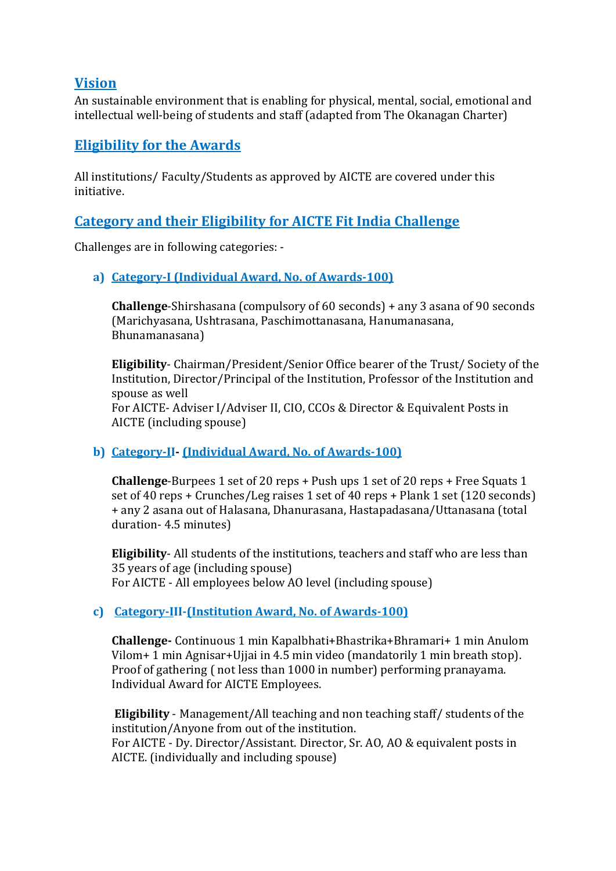## **Vision**

An sustainable environment that is enabling for physical, mental, social, emotional and intellectual well-being of students and staff (adapted from The Okanagan Charter)

# **Eligibility for the Awards**

All institutions/ Faculty/Students as approved by AICTE are covered under this initiative.

# **Category and their Eligibility for AICTE Fit India Challenge**

Challenges are in following categories: -

### **a) Category-I (Individual Award, No. of Awards-100)**

**Challenge**-Shirshasana (compulsory of 60 seconds) + any 3 asana of 90 seconds (Marichyasana, Ushtrasana, Paschimottanasana, Hanumanasana, Bhunamanasana)

**Eligibility**- Chairman/President/Senior Office bearer of the Trust/ Society of the Institution, Director/Principal of the Institution, Professor of the Institution and spouse as well For AICTE- Adviser I/Adviser II, CIO, CCOs & Director & Equivalent Posts in AICTE (including spouse)

### **b) Category-II- (Individual Award, No. of Awards-100)**

**Challenge**-Burpees 1 set of 20 reps + Push ups 1 set of 20 reps + Free Squats 1 set of 40 reps + Crunches/Leg raises 1 set of 40 reps + Plank 1 set (120 seconds) + any 2 asana out of Halasana, Dhanurasana, Hastapadasana/Uttanasana (total duration- 4.5 minutes)

**Eligibility**- All students of the institutions, teachers and staff who are less than 35 years of age (including spouse) For AICTE - All employees below AO level (including spouse)

### **c) Category-III-(Institution Award, No. of Awards-100)**

**Challenge-** Continuous 1 min Kapalbhati+Bhastrika+Bhramari+ 1 min Anulom Vilom+ 1 min Agnisar+Ujjai in 4.5 min video (mandatorily 1 min breath stop). Proof of gathering ( not less than 1000 in number) performing pranayama. Individual Award for AICTE Employees.

**Eligibility** - Management/All teaching and non teaching staff/ students of the institution/Anyone from out of the institution.

For AICTE - Dy. Director/Assistant. Director, Sr. AO, AO & equivalent posts in AICTE. (individually and including spouse)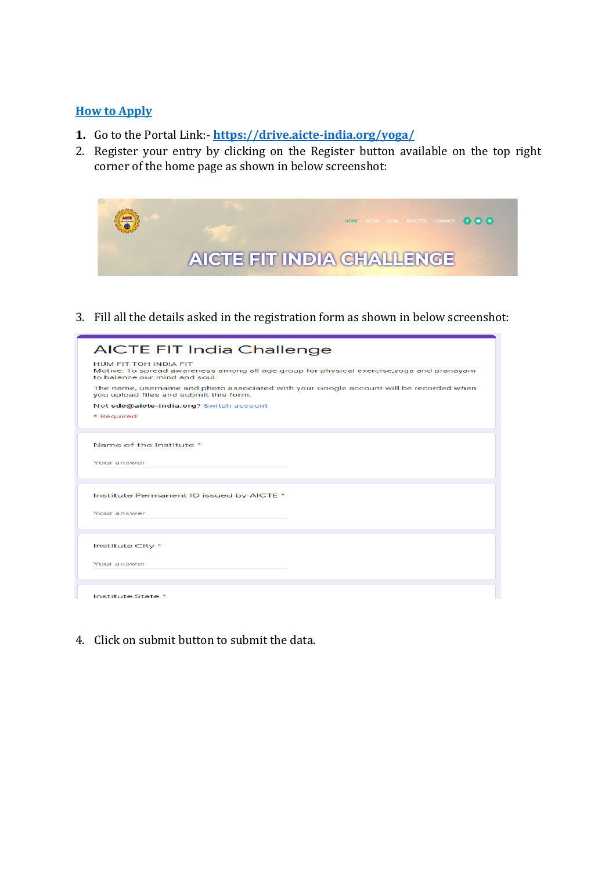#### **How to Apply**

- **1.** Go to the Portal Link:- **<https://drive.aicte-india.org/yoga/>**
- 2. Register your entry by clicking on the Register button available on the top right corner of the home page as shown in below screenshot:



3. Fill all the details asked in the registration form as shown in below screenshot:

| <b>AICTE FIT India Challenge</b>                                                                                                                   |
|----------------------------------------------------------------------------------------------------------------------------------------------------|
| HUM FIT TOH INDIA FIT<br>Motive: To spread awareness among all age group for physical exercise, yoga and pranayam<br>to balance our mind and soul. |
| The name, username and photo associated with your Google account will be recorded when<br>you upload files and submit this form.                   |
| Not sdc@aicte-india.org? Switch account                                                                                                            |
| * Required                                                                                                                                         |
|                                                                                                                                                    |
| Name of the Institute *                                                                                                                            |
| Your answer                                                                                                                                        |
|                                                                                                                                                    |
|                                                                                                                                                    |
| Institute Permanent ID issued by AICTE *                                                                                                           |
| Your answer                                                                                                                                        |
|                                                                                                                                                    |
|                                                                                                                                                    |
| Institute City *                                                                                                                                   |
| Your answer                                                                                                                                        |
|                                                                                                                                                    |
|                                                                                                                                                    |
| Institute State *                                                                                                                                  |

4. Click on submit button to submit the data.